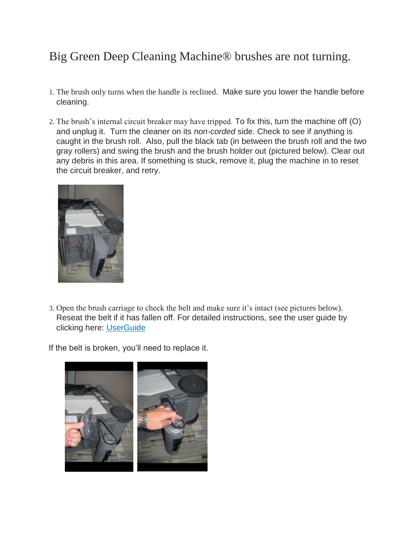## Big Green Deep Cleaning Machine® brushes are not turning.

- 1. The brush only turns when the handle is reclined. Make sure you lower the handle before cleaning.
- 2. The brush's internal circuit breaker may have tripped. To fix this, turn the machine off (O) and unplug it. Turn the cleaner on its *non-corded* side. Check to see if anything is caught in the brush roll. Also, pull the black tab (in between the brush roll and the two gray rollers) and swing the brush and the brush holder out (pictured below). Clear out any debris in this area. If something is stuck, remove it, plug the machine in to reset the circuit breaker, and retry.



3. Open the brush carriage to check the belt and make sure it's intact (see pictures below). Reseat the belt if it has fallen off. For detailed instructions, see the user guide by clicking here[:](https://bissellmedia.azureedge.net/-/media/site-us/documents/user-guides/86t3/bissell_user_guide_big_green_carpet_cleaning_machine_86t3.pdf?la=en&modified=20151201085908&cdnv=1) [UserGuide](https://bissellmedia.azureedge.net/-/media/site-us/documents/user-guides/86t3/bissell_user_guide_big_green_carpet_cleaning_machine_86t3.pdf?la=en&modified=20151201085908&cdnv=1)

If the belt is broken, you'll need to replace it.